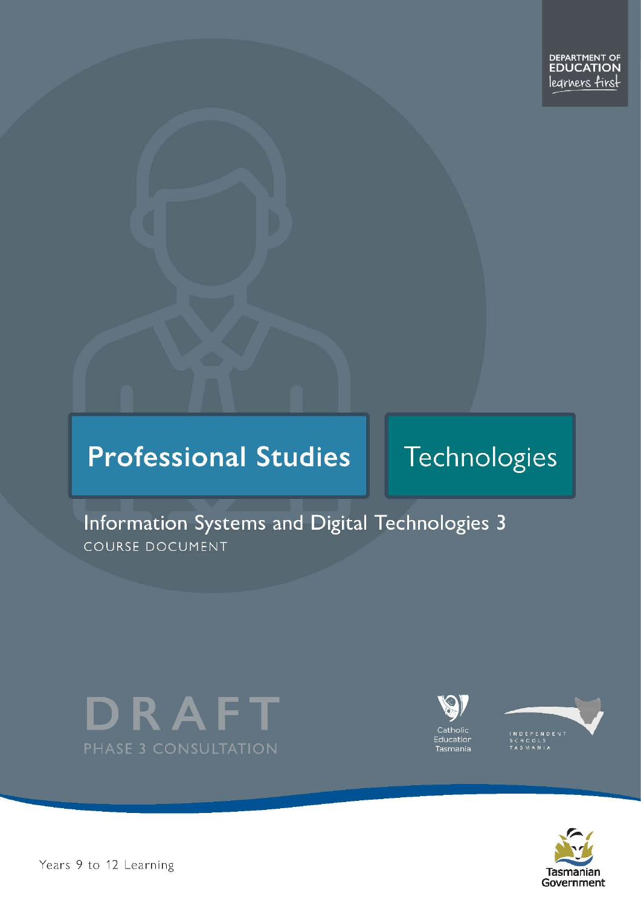# **Professional Studies**

# Technologies

# Information Systems and Digital Technologies 3 COURSE DOCUMENT







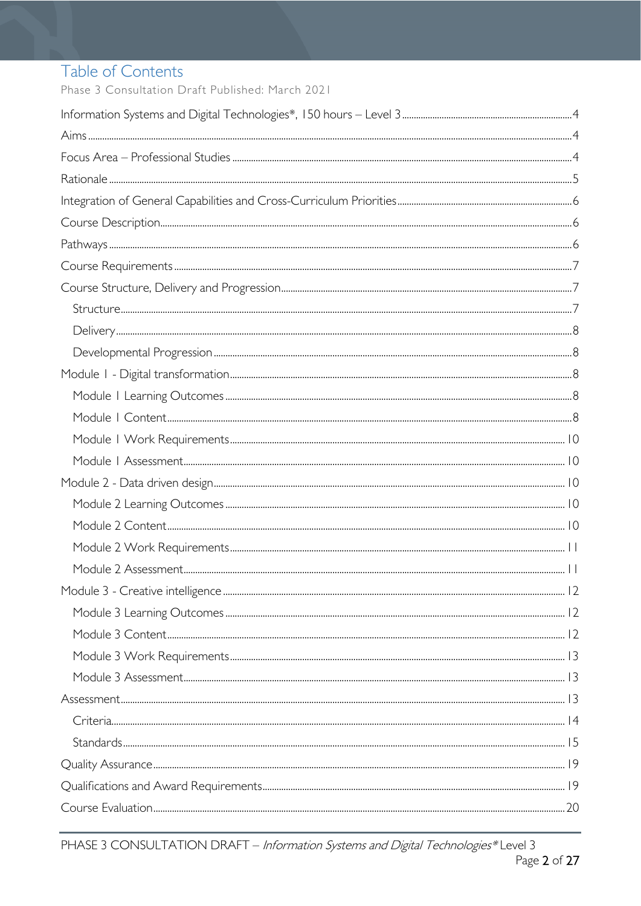# Table of Contents

Phase 3 Consultation Draft Published: March 2021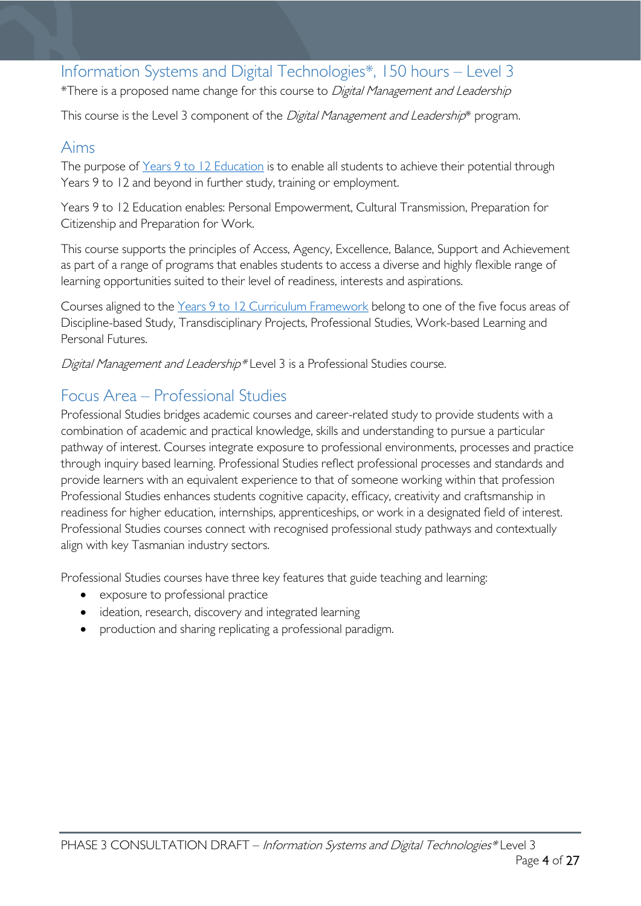# <span id="page-3-0"></span>Information Systems and Digital Technologies\*, 150 hours – Level 3

\*There is a proposed name change for this course to Digital Management and Leadership

This course is the Level 3 component of the *Digital Management and Leadership*\* program.

### <span id="page-3-1"></span>Aims

The purpose of Years 9 to 12 [Education](https://publicdocumentcentre.education.tas.gov.au/library/Shared%20Documents/Years-9-to-12-Education-Framework.pdf) is to enable all students to achieve their potential through Years 9 to 12 and beyond in further study, training or employment.

Years 9 to 12 Education enables: Personal Empowerment, Cultural Transmission, Preparation for Citizenship and Preparation for Work.

This course supports the principles of Access, Agency, Excellence, Balance, Support and Achievement as part of a range of programs that enables students to access a diverse and highly flexible range of learning opportunities suited to their level of readiness, interests and aspirations.

Courses aligned to the Years 9 to 12 Curriculum [Framework](https://publicdocumentcentre.education.tas.gov.au/library/Shared%20Documents/Education%209-12%20Frameworks%20A3%20WEB%20POSTER.pdf) belong to one of the five focus areas of Discipline-based Study, Transdisciplinary Projects, Professional Studies, Work-based Learning and Personal Futures.

Digital Management and Leadership\*Level 3 is a Professional Studies course.

### <span id="page-3-2"></span>Focus Area – Professional Studies

Professional Studies bridges academic courses and career-related study to provide students with a combination of academic and practical knowledge, skills and understanding to pursue a particular pathway of interest. Courses integrate exposure to professional environments, processes and practice through inquiry based learning. Professional Studies reflect professional processes and standards and provide learners with an equivalent experience to that of someone working within that profession Professional Studies enhances students cognitive capacity, efficacy, creativity and craftsmanship in readiness for higher education, internships, apprenticeships, or work in a designated field of interest. Professional Studies courses connect with recognised professional study pathways and contextually align with key Tasmanian industry sectors.

Professional Studies courses have three key features that guide teaching and learning:

- exposure to professional practice
- ideation, research, discovery and integrated learning
- production and sharing replicating a professional paradigm.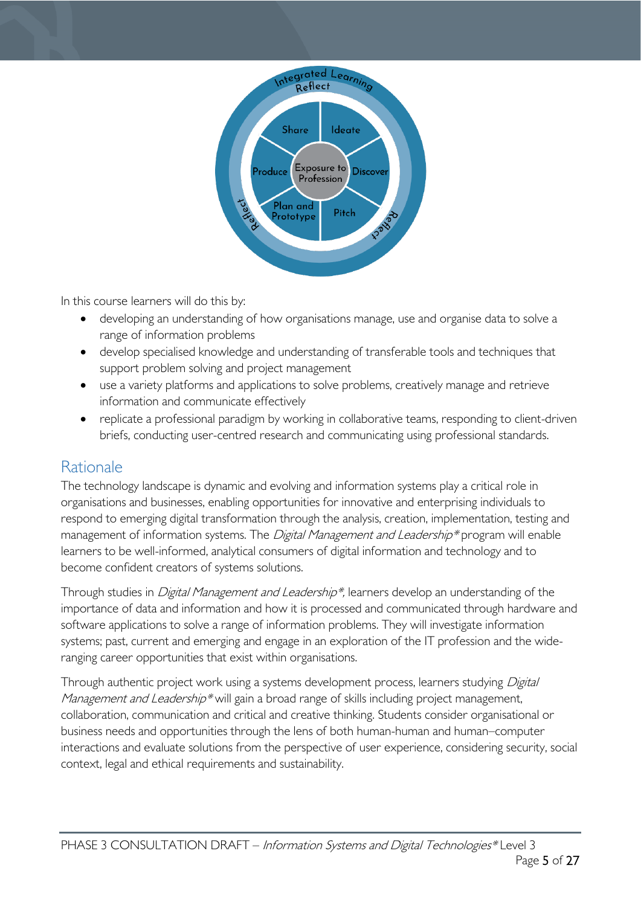

In this course learners will do this by:

- developing an understanding of how organisations manage, use and organise data to solve a range of information problems
- develop specialised knowledge and understanding of transferable tools and techniques that support problem solving and project management
- use a variety platforms and applications to solve problems, creatively manage and retrieve information and communicate effectively
- replicate a professional paradigm by working in collaborative teams, responding to client-driven briefs, conducting user-centred research and communicating using professional standards.

## <span id="page-4-0"></span>Rationale

The technology landscape is dynamic and evolving and information systems play a critical role in organisations and businesses, enabling opportunities for innovative and enterprising individuals to respond to emerging digital transformation through the analysis, creation, implementation, testing and management of information systems. The *Digital Management and Leadership\** program will enable learners to be well-informed, analytical consumers of digital information and technology and to become confident creators of systems solutions.

Through studies in *Digital Management and Leadership\**, learners develop an understanding of the importance of data and information and how it is processed and communicated through hardware and software applications to solve a range of information problems. They will investigate information systems; past, current and emerging and engage in an exploration of the IT profession and the wideranging career opportunities that exist within organisations.

Through authentic project work using a systems development process, learners studying Digital *Management and Leadership\** will gain a broad range of skills including project management, collaboration, communication and critical and creative thinking. Students consider organisational or business needs and opportunities through the lens of both human-human and human–computer interactions and evaluate solutions from the perspective of user experience, considering security, social context, legal and ethical requirements and sustainability.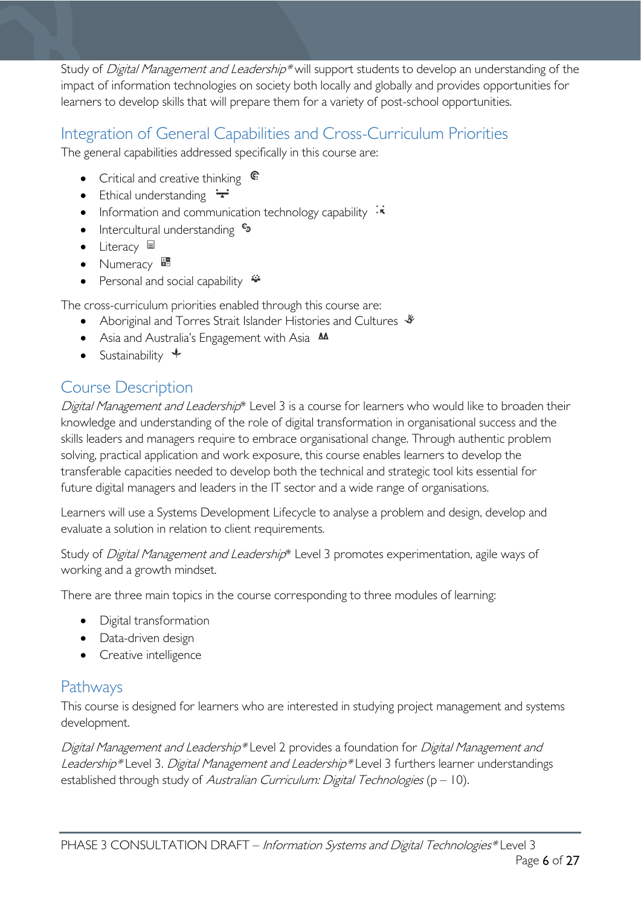Study of Digital Management and Leadership\* will support students to develop an understanding of the impact of information technologies on society both locally and globally and provides opportunities for learners to develop skills that will prepare them for a variety of post-school opportunities.

# <span id="page-5-0"></span>Integration of General Capabilities and Cross-Curriculum Priorities

The general capabilities addressed specifically in this course are:

- Critical and creative thinking  $\mathbb{C}$
- Ethical understanding  $\div$
- Information and communication technology capability  $\cdot \star$
- Intercultural understanding  $\frac{c_3}{ }$
- Literacy  $\blacksquare$
- $\bullet$  Numeracy  $\frac{1}{24}$
- Personal and social capability  $\ddot{\ddot{}}$

The cross-curriculum priorities enabled through this course are:

- Aboriginal and Torres Strait Islander Histories and Cultures  $\mathcal$
- Asia and Australia's Engagement with Asia **MA**
- Sustainability  $\triangleleft$

# <span id="page-5-1"></span>Course Description

Digital Management and Leadership\* Level 3 is a course for learners who would like to broaden their knowledge and understanding of the role of digital transformation in organisational success and the skills leaders and managers require to embrace organisational change. Through authentic problem solving, practical application and work exposure, this course enables learners to develop the transferable capacities needed to develop both the technical and strategic tool kits essential for future digital managers and leaders in the IT sector and a wide range of organisations.

Learners will use a Systems Development Lifecycle to analyse a problem and design, develop and evaluate a solution in relation to client requirements.

Study of Digital Management and Leadership\* Level 3 promotes experimentation, agile ways of working and a growth mindset.

There are three main topics in the course corresponding to three modules of learning:

- Digital transformation
- Data-driven design
- Creative intelligence

## <span id="page-5-2"></span>Pathways

This course is designed for learners who are interested in studying project management and systems development.

Digital Management and Leadership\* Level 2 provides a foundation for Digital Management and Leadership\* Level 3. Digital Management and Leadership\* Level 3 furthers learner understandings established through study of Australian Curriculum: Digital Technologies ( $p - 10$ ).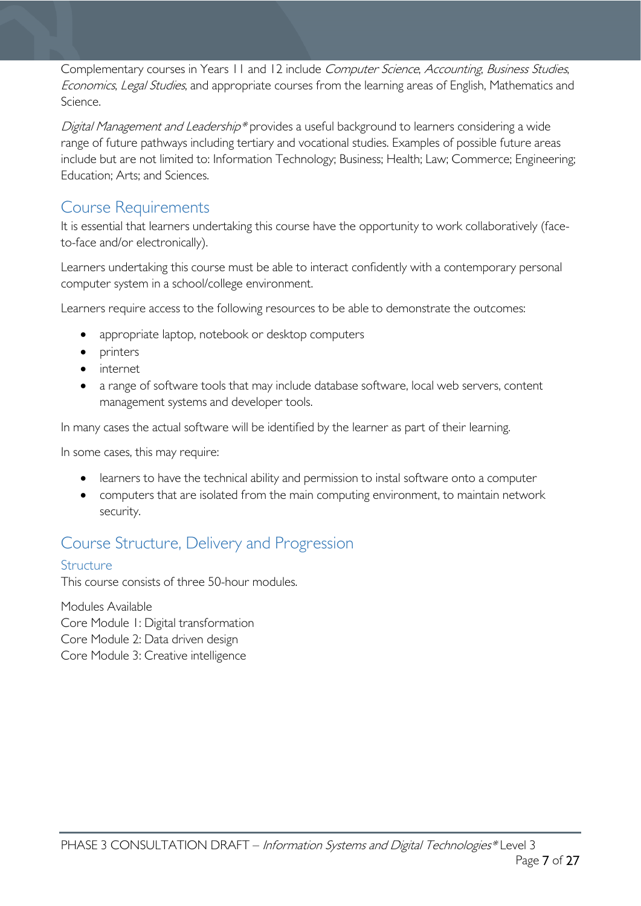Complementary courses in Years 11 and 12 include Computer Science, Accounting, Business Studies, Economics, Legal Studies, and appropriate courses from the learning areas of English, Mathematics and Science.

Digital Management and Leadership\* provides a useful background to learners considering a wide range of future pathways including tertiary and vocational studies. Examples of possible future areas include but are not limited to: Information Technology; Business; Health; Law; Commerce; Engineering; Education; Arts; and Sciences.

### <span id="page-6-0"></span>Course Requirements

It is essential that learners undertaking this course have the opportunity to work collaboratively (faceto-face and/or electronically).

Learners undertaking this course must be able to interact confidently with a contemporary personal computer system in a school/college environment.

Learners require access to the following resources to be able to demonstrate the outcomes:

- appropriate laptop, notebook or desktop computers
- printers
- internet
- a range of software tools that may include database software, local web servers, content management systems and developer tools.

In many cases the actual software will be identified by the learner as part of their learning.

In some cases, this may require:

- learners to have the technical ability and permission to instal software onto a computer
- computers that are isolated from the main computing environment, to maintain network security.

# <span id="page-6-1"></span>Course Structure, Delivery and Progression

### <span id="page-6-2"></span>Structure

This course consists of three 50-hour modules.

Modules Available Core Module 1: Digital transformation Core Module 2: Data driven design Core Module 3: Creative intelligence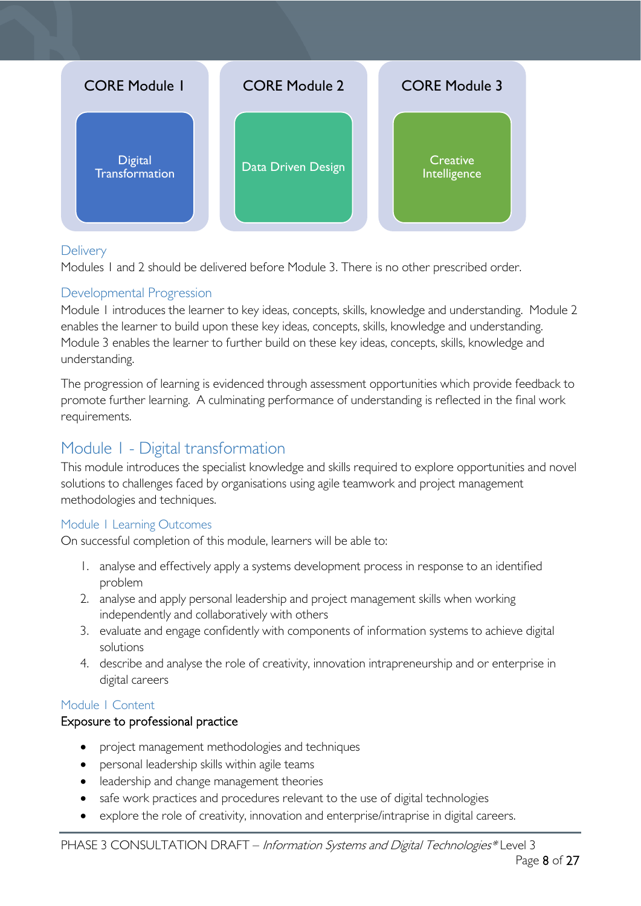

#### <span id="page-7-0"></span>**Delivery**

Modules 1 and 2 should be delivered before Module 3. There is no other prescribed order.

### <span id="page-7-1"></span>Developmental Progression

Module 1 introduces the learner to key ideas, concepts, skills, knowledge and understanding. Module 2 enables the learner to build upon these key ideas, concepts, skills, knowledge and understanding. Module 3 enables the learner to further build on these key ideas, concepts, skills, knowledge and understanding.

The progression of learning is evidenced through assessment opportunities which provide feedback to promote further learning. A culminating performance of understanding is reflected in the final work requirements.

# <span id="page-7-2"></span>Module 1 - Digital transformation

This module introduces the specialist knowledge and skills required to explore opportunities and novel solutions to challenges faced by organisations using agile teamwork and project management methodologies and techniques.

#### <span id="page-7-3"></span>Module 1 Learning Outcomes

On successful completion of this module, learners will be able to:

- 1. analyse and effectively apply a systems development process in response to an identified problem
- 2. analyse and apply personal leadership and project management skills when working independently and collaboratively with others
- 3. evaluate and engage confidently with components of information systems to achieve digital solutions
- 4. describe and analyse the role of creativity, innovation intrapreneurship and or enterprise in digital careers

#### <span id="page-7-4"></span>Module 1 Content

#### Exposure to professional practice

- project management methodologies and techniques
- personal leadership skills within agile teams
- leadership and change management theories
- safe work practices and procedures relevant to the use of digital technologies
- explore the role of creativity, innovation and enterprise/intraprise in digital careers.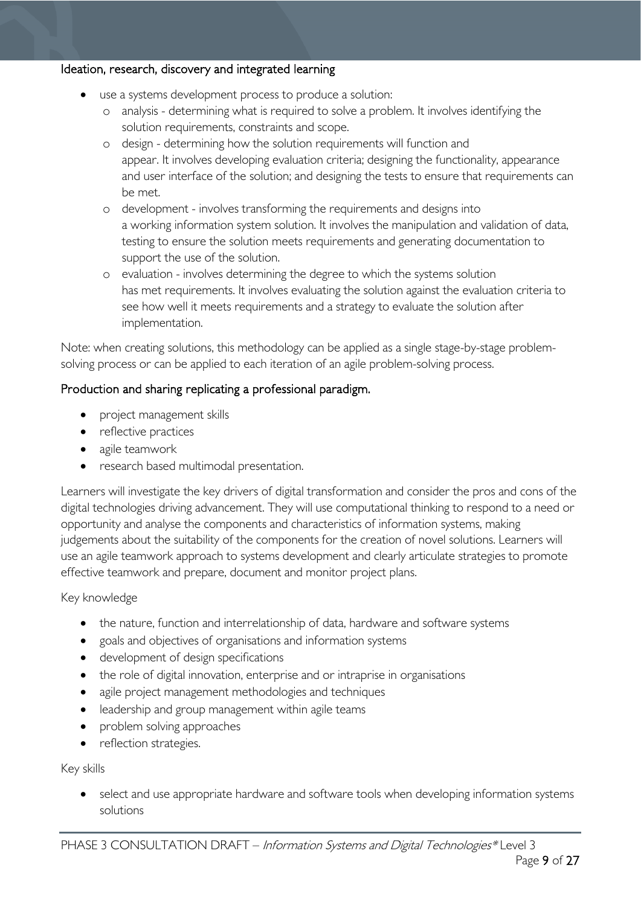#### Ideation, research, discovery and integrated learning

- use a systems development process to produce a solution:
	- o analysis determining what is required to solve a problem. It involves identifying the solution requirements, constraints and scope.
	- o design determining how the solution requirements will function and appear. It involves developing evaluation criteria; designing the functionality, appearance and user interface of the solution; and designing the tests to ensure that requirements can be met.
	- o development involves transforming the requirements and designs into a working information system solution. It involves the manipulation and validation of data, testing to ensure the solution meets requirements and generating documentation to support the use of the solution.
	- o evaluation involves determining the degree to which the systems solution has met requirements. It involves evaluating the solution against the evaluation criteria to see how well it meets requirements and a strategy to evaluate the solution after implementation.

Note: when creating solutions, this methodology can be applied as a single stage-by-stage problemsolving process or can be applied to each iteration of an agile problem-solving process.

#### Production and sharing replicating a professional paradigm.

- project management skills
- reflective practices
- agile teamwork
- research based multimodal presentation.

Learners will investigate the key drivers of digital transformation and consider the pros and cons of the digital technologies driving advancement. They will use computational thinking to respond to a need or opportunity and analyse the components and characteristics of information systems, making judgements about the suitability of the components for the creation of novel solutions. Learners will use an agile teamwork approach to systems development and clearly articulate strategies to promote effective teamwork and prepare, document and monitor project plans.

#### Key knowledge

- the nature, function and interrelationship of data, hardware and software systems
- goals and objectives of organisations and information systems
- development of design specifications
- the role of digital innovation, enterprise and or intraprise in organisations
- agile project management methodologies and techniques
- leadership and group management within agile teams
- problem solving approaches
- reflection strategies.

Key skills

select and use appropriate hardware and software tools when developing information systems solutions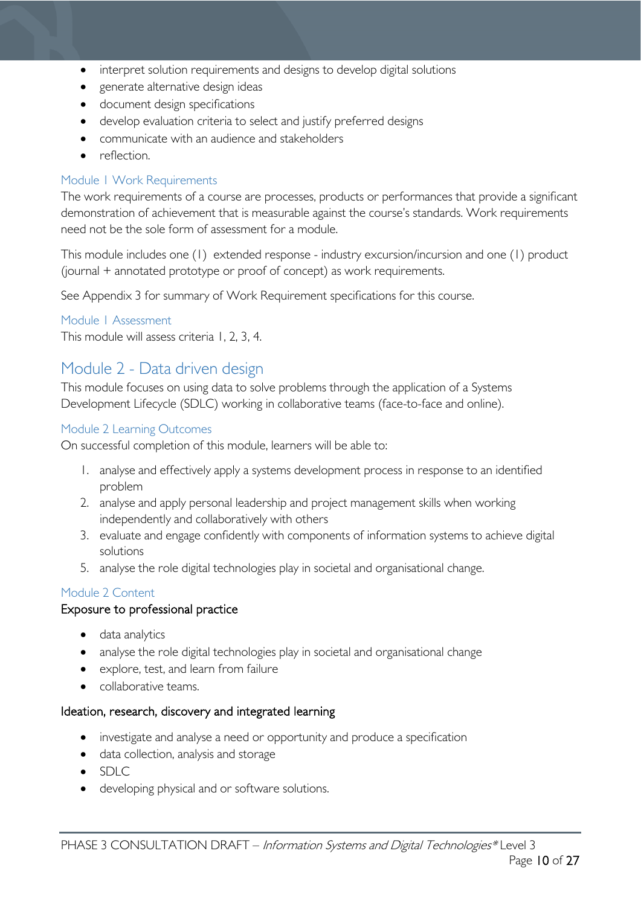- interpret solution requirements and designs to develop digital solutions
- generate alternative design ideas
- document design specifications
- develop evaluation criteria to select and justify preferred designs
- communicate with an audience and stakeholders
- reflection.

#### <span id="page-9-0"></span>Module 1 Work Requirements

The work requirements of a course are processes, products or performances that provide a significant demonstration of achievement that is measurable against the course's standards. Work requirements need not be the sole form of assessment for a module.

This module includes one (1) extended response - industry excursion/incursion and one (1) product (journal + annotated prototype or proof of concept) as work requirements.

See Appendix 3 for summary of Work Requirement specifications for this course.

#### <span id="page-9-1"></span>Module 1 Assessment

This module will assess criteria 1, 2, 3, 4.

### <span id="page-9-2"></span>Module 2 - Data driven design

This module focuses on using data to solve problems through the application of a Systems Development Lifecycle (SDLC) working in collaborative teams (face-to-face and online).

#### <span id="page-9-3"></span>Module 2 Learning Outcomes

On successful completion of this module, learners will be able to:

- 1. analyse and effectively apply a systems development process in response to an identified problem
- 2. analyse and apply personal leadership and project management skills when working independently and collaboratively with others
- 3. evaluate and engage confidently with components of information systems to achieve digital solutions
- 5. analyse the role digital technologies play in societal and organisational change.

#### <span id="page-9-4"></span>Module 2 Content

#### Exposure to professional practice

- data analytics
- analyse the role digital technologies play in societal and organisational change
- explore, test, and learn from failure
- collaborative teams.

#### Ideation, research, discovery and integrated learning

- investigate and analyse a need or opportunity and produce a specification
- data collection, analysis and storage
- $\bullet$  SDLC
- developing physical and or software solutions.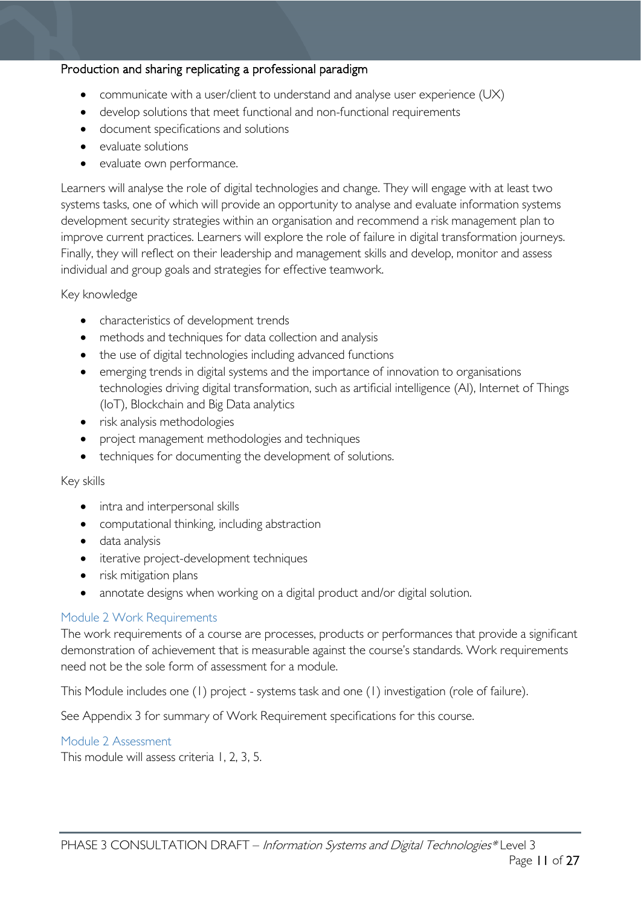#### Production and sharing replicating a professional paradigm

- communicate with a user/client to understand and analyse user experience (UX)
- develop solutions that meet functional and non-functional requirements
- document specifications and solutions
- evaluate solutions
- evaluate own performance.

Learners will analyse the role of digital technologies and change. They will engage with at least two systems tasks, one of which will provide an opportunity to analyse and evaluate information systems development security strategies within an organisation and recommend a risk management plan to improve current practices. Learners will explore the role of failure in digital transformation journeys. Finally, they will reflect on their leadership and management skills and develop, monitor and assess individual and group goals and strategies for effective teamwork.

#### Key knowledge

- characteristics of development trends
- methods and techniques for data collection and analysis
- the use of digital technologies including advanced functions
- emerging trends in digital systems and the importance of innovation to organisations technologies driving digital transformation, such as artificial intelligence (AI), Internet of Things (IoT), Blockchain and Big Data analytics
- risk analysis methodologies
- project management methodologies and techniques
- techniques for documenting the development of solutions.

#### Key skills

- intra and interpersonal skills
- computational thinking, including abstraction
- data analysis
- iterative project-development techniques
- risk mitigation plans
- annotate designs when working on a digital product and/or digital solution.

#### <span id="page-10-0"></span>Module 2 Work Requirements

The work requirements of a course are processes, products or performances that provide a significant demonstration of achievement that is measurable against the course's standards. Work requirements need not be the sole form of assessment for a module.

This Module includes one (1) project - systems task and one (1) investigation (role of failure).

See Appendix 3 for summary of Work Requirement specifications for this course.

#### <span id="page-10-1"></span>Module 2 Assessment

This module will assess criteria 1, 2, 3, 5.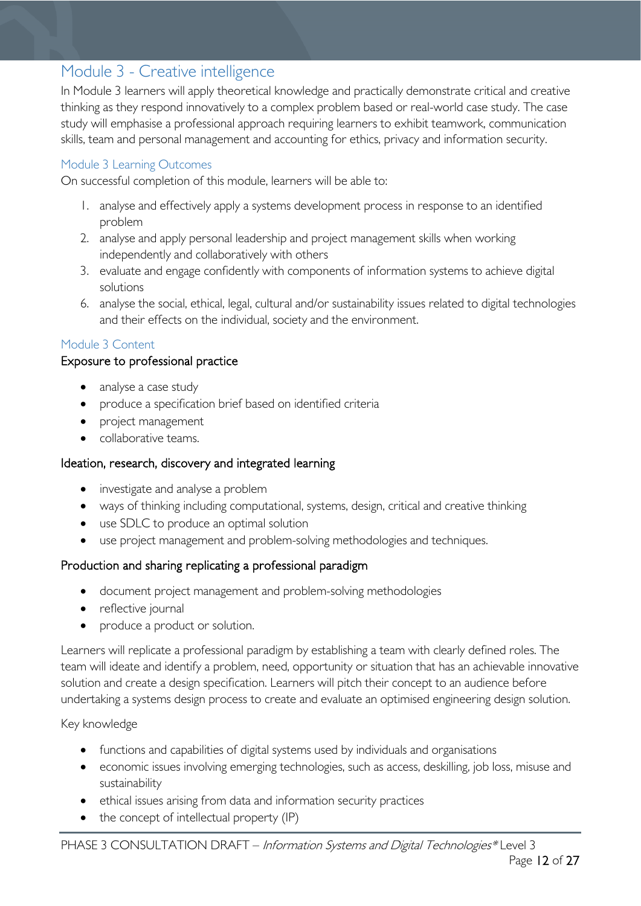# <span id="page-11-0"></span>Module 3 - Creative intelligence

In Module 3 learners will apply theoretical knowledge and practically demonstrate critical and creative thinking as they respond innovatively to a complex problem based or real-world case study. The case study will emphasise a professional approach requiring learners to exhibit teamwork, communication skills, team and personal management and accounting for ethics, privacy and information security.

#### <span id="page-11-1"></span>Module 3 Learning Outcomes

On successful completion of this module, learners will be able to:

- 1. analyse and effectively apply a systems development process in response to an identified problem
- 2. analyse and apply personal leadership and project management skills when working independently and collaboratively with others
- 3. evaluate and engage confidently with components of information systems to achieve digital solutions
- 6. analyse the social, ethical, legal, cultural and/or sustainability issues related to digital technologies and their effects on the individual, society and the environment.

#### <span id="page-11-2"></span>Module 3 Content

#### Exposure to professional practice

- analyse a case study
- produce a specification brief based on identified criteria
- project management
- collaborative teams.

### Ideation, research, discovery and integrated learning

- investigate and analyse a problem
- ways of thinking including computational, systems, design, critical and creative thinking
- use SDLC to produce an optimal solution
- use project management and problem-solving methodologies and techniques.

### Production and sharing replicating a professional paradigm

- document project management and problem-solving methodologies
- reflective journal
- produce a product or solution.

Learners will replicate a professional paradigm by establishing a team with clearly defined roles. The team will ideate and identify a problem, need, opportunity or situation that has an achievable innovative solution and create a design specification. Learners will pitch their concept to an audience before undertaking a systems design process to create and evaluate an optimised engineering design solution.

#### Key knowledge

- functions and capabilities of digital systems used by individuals and organisations
- economic issues involving emerging technologies, such as access, deskilling, job loss, misuse and sustainability
- ethical issues arising from data and information security practices
- the concept of intellectual property (IP)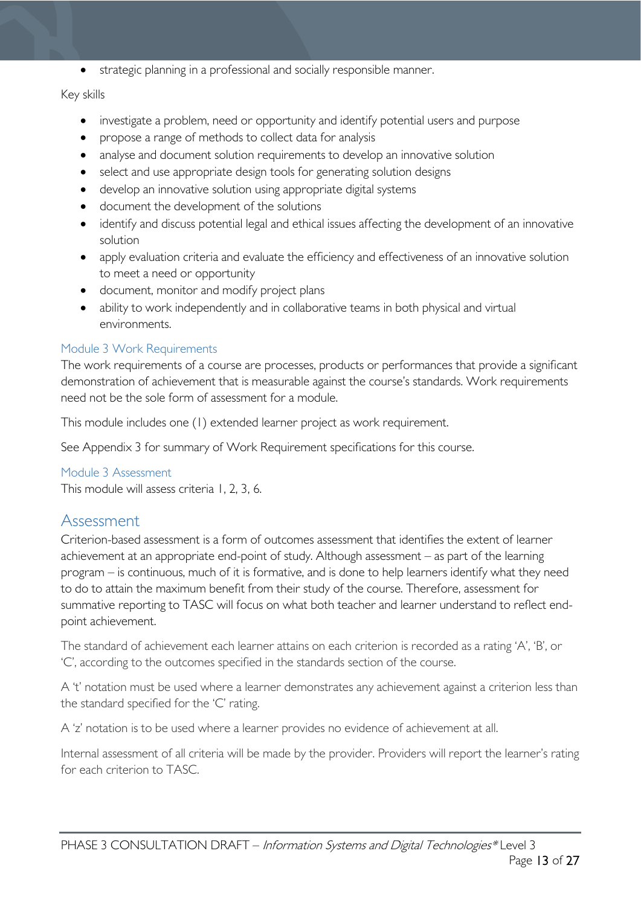• strategic planning in a professional and socially responsible manner.

#### Key skills

- investigate a problem, need or opportunity and identify potential users and purpose
- propose a range of methods to collect data for analysis
- analyse and document solution requirements to develop an innovative solution
- select and use appropriate design tools for generating solution designs
- develop an innovative solution using appropriate digital systems
- document the development of the solutions
- identify and discuss potential legal and ethical issues affecting the development of an innovative solution
- apply evaluation criteria and evaluate the efficiency and effectiveness of an innovative solution to meet a need or opportunity
- document, monitor and modify project plans
- ability to work independently and in collaborative teams in both physical and virtual environments.

#### <span id="page-12-0"></span>Module 3 Work Requirements

The work requirements of a course are processes, products or performances that provide a significant demonstration of achievement that is measurable against the course's standards. Work requirements need not be the sole form of assessment for a module.

This module includes one (1) extended learner project as work requirement.

See Appendix 3 for summary of Work Requirement specifications for this course.

#### <span id="page-12-1"></span>Module 3 Assessment

This module will assess criteria 1, 2, 3, 6.

### <span id="page-12-2"></span>Assessment

Criterion-based assessment is a form of outcomes assessment that identifies the extent of learner achievement at an appropriate end-point of study. Although assessment – as part of the learning program – is continuous, much of it is formative, and is done to help learners identify what they need to do to attain the maximum benefit from their study of the course. Therefore, assessment for summative reporting to TASC will focus on what both teacher and learner understand to reflect endpoint achievement.

The standard of achievement each learner attains on each criterion is recorded as a rating 'A', 'B', or 'C', according to the outcomes specified in the standards section of the course.

A 't' notation must be used where a learner demonstrates any achievement against a criterion less than the standard specified for the 'C' rating.

A 'z' notation is to be used where a learner provides no evidence of achievement at all.

Internal assessment of all criteria will be made by the provider. Providers will report the learner's rating for each criterion to TASC.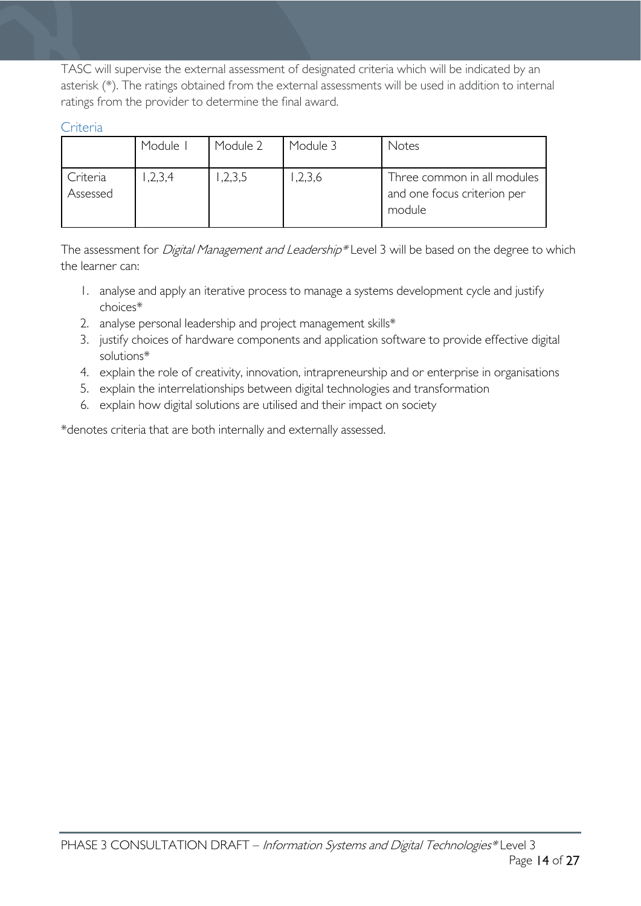TASC will supervise the external assessment of designated criteria which will be indicated by an asterisk (\*). The ratings obtained from the external assessments will be used in addition to internal ratings from the provider to determine the final award.

<span id="page-13-0"></span>Criteria

|                      | Module I | Module 2 | Module 3 | Notes                                                                |
|----------------------|----------|----------|----------|----------------------------------------------------------------------|
| Criteria<br>Assessed | 1,2,3,4  | 1,2,3,5  | 1,2,3,6  | Three common in all modules<br>and one focus criterion per<br>module |

The assessment for *Digital Management and Leadership*\* Level 3 will be based on the degree to which the learner can:

- 1. analyse and apply an iterative process to manage a systems development cycle and justify choices\*
- 2. analyse personal leadership and project management skills\*
- 3. justify choices of hardware components and application software to provide effective digital solutions\*
- 4. explain the role of creativity, innovation, intrapreneurship and or enterprise in organisations
- 5. explain the interrelationships between digital technologies and transformation
- 6. explain how digital solutions are utilised and their impact on society

\*denotes criteria that are both internally and externally assessed.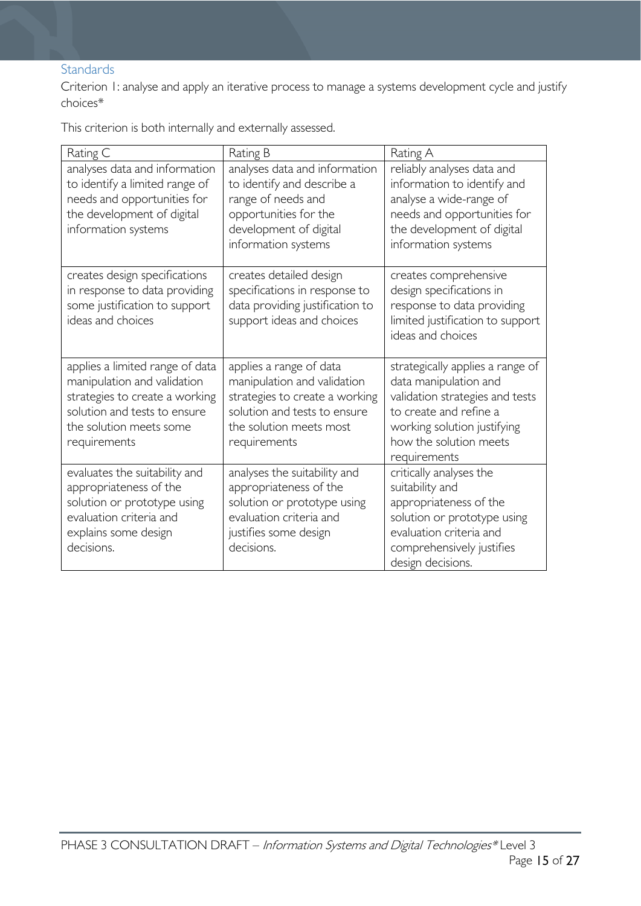### <span id="page-14-0"></span>Standards

Criterion 1: analyse and apply an iterative process to manage a systems development cycle and justify choices\*

This criterion is both internally and externally assessed.

| Rating C                                                                                                                                                                    | Rating B                                                                                                                                                            | Rating A                                                                                                                                                                                        |
|-----------------------------------------------------------------------------------------------------------------------------------------------------------------------------|---------------------------------------------------------------------------------------------------------------------------------------------------------------------|-------------------------------------------------------------------------------------------------------------------------------------------------------------------------------------------------|
| analyses data and information<br>to identify a limited range of<br>needs and opportunities for<br>the development of digital<br>information systems                         | analyses data and information<br>to identify and describe a<br>range of needs and<br>opportunities for the<br>development of digital<br>information systems         | reliably analyses data and<br>information to identify and<br>analyse a wide-range of<br>needs and opportunities for<br>the development of digital<br>information systems                        |
| creates design specifications<br>in response to data providing<br>some justification to support<br>ideas and choices                                                        | creates detailed design<br>specifications in response to<br>data providing justification to<br>support ideas and choices                                            | creates comprehensive<br>design specifications in<br>response to data providing<br>limited justification to support<br>ideas and choices                                                        |
| applies a limited range of data<br>manipulation and validation<br>strategies to create a working<br>solution and tests to ensure<br>the solution meets some<br>requirements | applies a range of data<br>manipulation and validation<br>strategies to create a working<br>solution and tests to ensure<br>the solution meets most<br>requirements | strategically applies a range of<br>data manipulation and<br>validation strategies and tests<br>to create and refine a<br>working solution justifying<br>how the solution meets<br>requirements |
| evaluates the suitability and<br>appropriateness of the<br>solution or prototype using<br>evaluation criteria and<br>explains some design<br>decisions.                     | analyses the suitability and<br>appropriateness of the<br>solution or prototype using<br>evaluation criteria and<br>justifies some design<br>decisions.             | critically analyses the<br>suitability and<br>appropriateness of the<br>solution or prototype using<br>evaluation criteria and<br>comprehensively justifies<br>design decisions.                |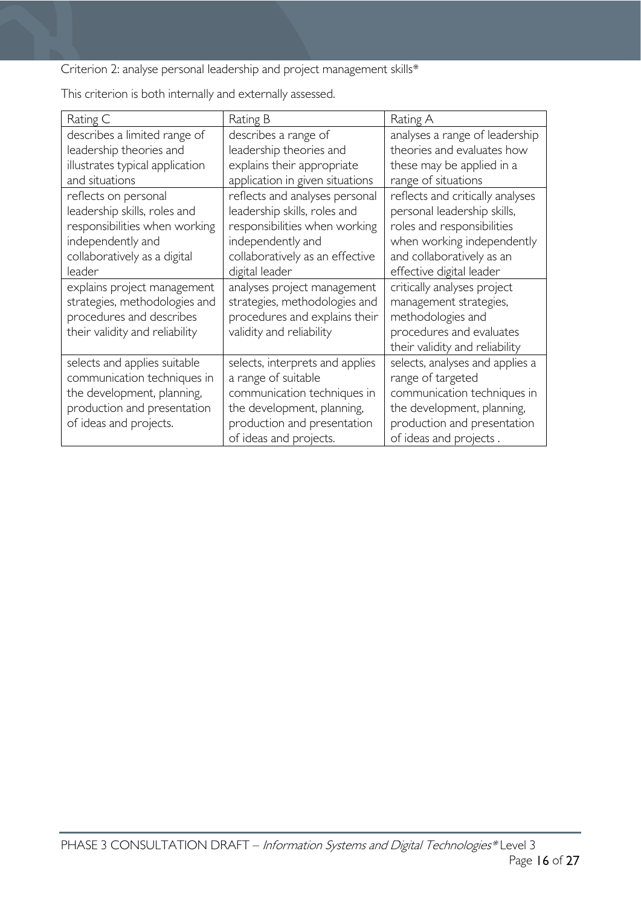Criterion 2: analyse personal leadership and project management skills\*

| Rating C                        | Rating B                        | Rating A                         |
|---------------------------------|---------------------------------|----------------------------------|
| describes a limited range of    | describes a range of            | analyses a range of leadership   |
| leadership theories and         | leadership theories and         | theories and evaluates how       |
| illustrates typical application | explains their appropriate      | these may be applied in a        |
| and situations                  | application in given situations | range of situations              |
| reflects on personal            | reflects and analyses personal  | reflects and critically analyses |
| leadership skills, roles and    | leadership skills, roles and    | personal leadership skills,      |
| responsibilities when working   | responsibilities when working   | roles and responsibilities       |
| independently and               | independently and               | when working independently       |
| collaboratively as a digital    | collaboratively as an effective | and collaboratively as an        |
| leader                          | digital leader                  | effective digital leader         |
| explains project management     | analyses project management     | critically analyses project      |
| strategies, methodologies and   | strategies, methodologies and   | management strategies,           |
| procedures and describes        | procedures and explains their   | methodologies and                |
| their validity and reliability  | validity and reliability        | procedures and evaluates         |
|                                 |                                 | their validity and reliability   |
| selects and applies suitable    | selects, interprets and applies | selects, analyses and applies a  |
| communication techniques in     | a range of suitable             | range of targeted                |
| the development, planning,      | communication techniques in     | communication techniques in      |
| production and presentation     | the development, planning,      | the development, planning,       |
| of ideas and projects.          | production and presentation     | production and presentation      |
|                                 | of ideas and projects.          | of ideas and projects.           |

This criterion is both internally and externally assessed.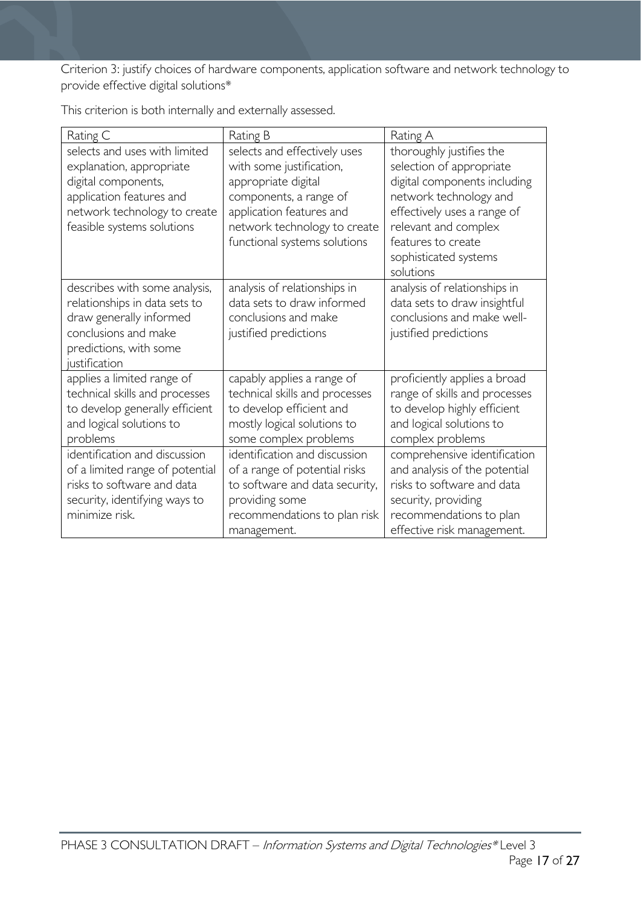Criterion 3: justify choices of hardware components, application software and network technology to provide effective digital solutions\*

| Rating C                                                                                                                                                                   | Rating B                                                                                                                                                                                              | Rating A                                                                                                                                                                                                             |
|----------------------------------------------------------------------------------------------------------------------------------------------------------------------------|-------------------------------------------------------------------------------------------------------------------------------------------------------------------------------------------------------|----------------------------------------------------------------------------------------------------------------------------------------------------------------------------------------------------------------------|
| selects and uses with limited<br>explanation, appropriate<br>digital components,<br>application features and<br>network technology to create<br>feasible systems solutions | selects and effectively uses<br>with some justification,<br>appropriate digital<br>components, a range of<br>application features and<br>network technology to create<br>functional systems solutions | thoroughly justifies the<br>selection of appropriate<br>digital components including<br>network technology and<br>effectively uses a range of<br>relevant and complex<br>features to create<br>sophisticated systems |
|                                                                                                                                                                            |                                                                                                                                                                                                       | solutions                                                                                                                                                                                                            |
| describes with some analysis,<br>relationships in data sets to<br>draw generally informed<br>conclusions and make<br>predictions, with some<br>justification               | analysis of relationships in<br>data sets to draw informed<br>conclusions and make<br>justified predictions                                                                                           | analysis of relationships in<br>data sets to draw insightful<br>conclusions and make well-<br>justified predictions                                                                                                  |
| applies a limited range of<br>technical skills and processes<br>to develop generally efficient<br>and logical solutions to<br>problems                                     | capably applies a range of<br>technical skills and processes<br>to develop efficient and<br>mostly logical solutions to<br>some complex problems                                                      | proficiently applies a broad<br>range of skills and processes<br>to develop highly efficient<br>and logical solutions to<br>complex problems                                                                         |
| identification and discussion<br>of a limited range of potential<br>risks to software and data<br>security, identifying ways to<br>minimize risk.                          | identification and discussion<br>of a range of potential risks<br>to software and data security,<br>providing some<br>recommendations to plan risk<br>management.                                     | comprehensive identification<br>and analysis of the potential<br>risks to software and data<br>security, providing<br>recommendations to plan<br>effective risk management.                                          |

This criterion is both internally and externally assessed.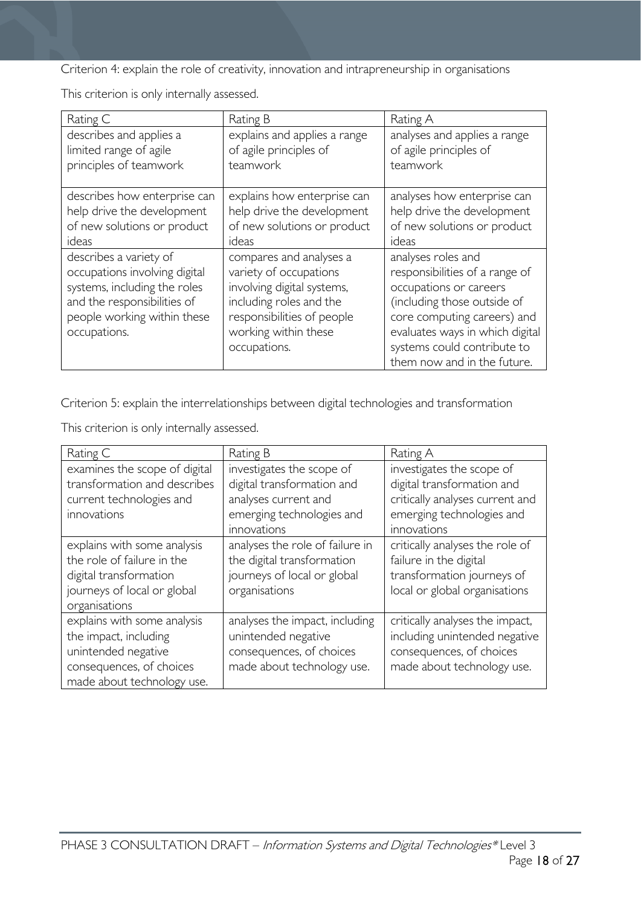Criterion 4: explain the role of creativity, innovation and intrapreneurship in organisations

This criterion is only internally assessed.

| Rating C                                                                                                                                                              | Rating B                                                                                                                                                                         | Rating A                                                                                                                                                                                                                                      |
|-----------------------------------------------------------------------------------------------------------------------------------------------------------------------|----------------------------------------------------------------------------------------------------------------------------------------------------------------------------------|-----------------------------------------------------------------------------------------------------------------------------------------------------------------------------------------------------------------------------------------------|
| describes and applies a                                                                                                                                               | explains and applies a range                                                                                                                                                     | analyses and applies a range                                                                                                                                                                                                                  |
| limited range of agile                                                                                                                                                | of agile principles of                                                                                                                                                           | of agile principles of                                                                                                                                                                                                                        |
| principles of teamwork                                                                                                                                                | teamwork                                                                                                                                                                         | teamwork                                                                                                                                                                                                                                      |
| describes how enterprise can                                                                                                                                          | explains how enterprise can                                                                                                                                                      | analyses how enterprise can                                                                                                                                                                                                                   |
| help drive the development                                                                                                                                            | help drive the development                                                                                                                                                       | help drive the development                                                                                                                                                                                                                    |
| of new solutions or product                                                                                                                                           | of new solutions or product                                                                                                                                                      | of new solutions or product                                                                                                                                                                                                                   |
| ideas                                                                                                                                                                 | ideas                                                                                                                                                                            | ideas                                                                                                                                                                                                                                         |
| describes a variety of<br>occupations involving digital<br>systems, including the roles<br>and the responsibilities of<br>people working within these<br>occupations. | compares and analyses a<br>variety of occupations<br>involving digital systems,<br>including roles and the<br>responsibilities of people<br>working within these<br>occupations. | analyses roles and<br>responsibilities of a range of<br>occupations or careers<br>(including those outside of<br>core computing careers) and<br>evaluates ways in which digital<br>systems could contribute to<br>them now and in the future. |

Criterion 5: explain the interrelationships between digital technologies and transformation

This criterion is only internally assessed.

| Rating C                                                                                                                              | Rating B                                                                                                                    | Rating A                                                                                                                               |
|---------------------------------------------------------------------------------------------------------------------------------------|-----------------------------------------------------------------------------------------------------------------------------|----------------------------------------------------------------------------------------------------------------------------------------|
| examines the scope of digital<br>transformation and describes<br>current technologies and<br>innovations                              | investigates the scope of<br>digital transformation and<br>analyses current and<br>emerging technologies and<br>innovations | investigates the scope of<br>digital transformation and<br>critically analyses current and<br>emerging technologies and<br>innovations |
| explains with some analysis<br>the role of failure in the<br>digital transformation<br>journeys of local or global<br>organisations   | analyses the role of failure in<br>the digital transformation<br>journeys of local or global<br>organisations               | critically analyses the role of<br>failure in the digital<br>transformation journeys of<br>local or global organisations               |
| explains with some analysis<br>the impact, including<br>unintended negative<br>consequences, of choices<br>made about technology use. | analyses the impact, including<br>unintended negative<br>consequences, of choices<br>made about technology use.             | critically analyses the impact,<br>including unintended negative<br>consequences, of choices<br>made about technology use.             |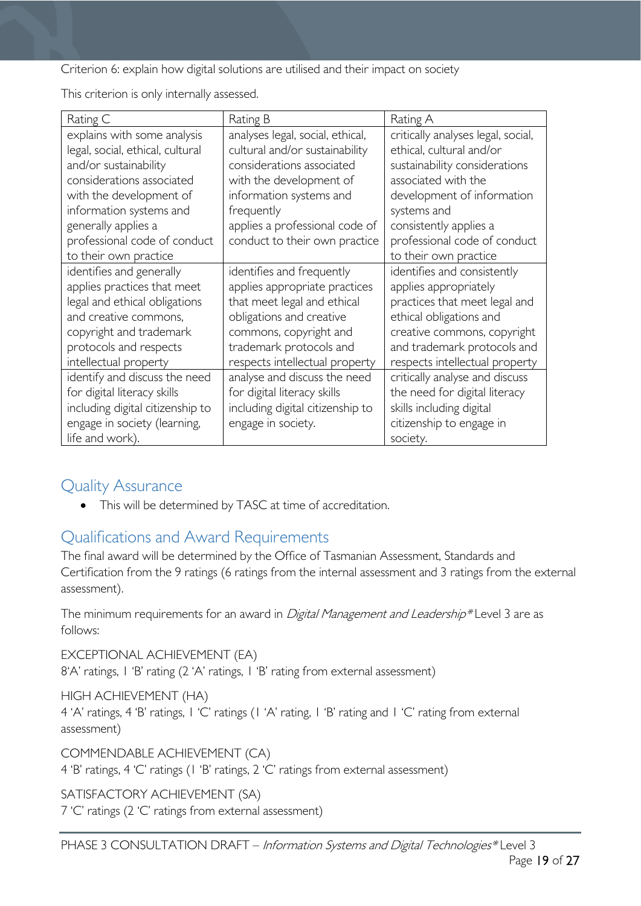Criterion 6: explain how digital solutions are utilised and their impact on society

This criterion is only internally assessed.

| Rating C                         | Rating B                         | Rating A                           |
|----------------------------------|----------------------------------|------------------------------------|
| explains with some analysis      | analyses legal, social, ethical, | critically analyses legal, social, |
| legal, social, ethical, cultural | cultural and/or sustainability   | ethical, cultural and/or           |
| and/or sustainability            | considerations associated        | sustainability considerations      |
| considerations associated        | with the development of          | associated with the                |
| with the development of          | information systems and          | development of information         |
| information systems and          | frequently                       | systems and                        |
| generally applies a              | applies a professional code of   | consistently applies a             |
| professional code of conduct     | conduct to their own practice    | professional code of conduct       |
| to their own practice            |                                  | to their own practice              |
| identifies and generally         | identifies and frequently        | identifies and consistently        |
| applies practices that meet      | applies appropriate practices    | applies appropriately              |
| legal and ethical obligations    | that meet legal and ethical      | practices that meet legal and      |
| and creative commons,            | obligations and creative         | ethical obligations and            |
| copyright and trademark          | commons, copyright and           | creative commons, copyright        |
| protocols and respects           | trademark protocols and          | and trademark protocols and        |
| intellectual property            | respects intellectual property   | respects intellectual property     |
| identify and discuss the need    | analyse and discuss the need     | critically analyse and discuss     |
| for digital literacy skills      | for digital literacy skills      | the need for digital literacy      |
| including digital citizenship to | including digital citizenship to | skills including digital           |
| engage in society (learning,     | engage in society.               | citizenship to engage in           |
| life and work).                  |                                  | society.                           |

## <span id="page-18-0"></span>Quality Assurance

• This will be determined by TASC at time of accreditation.

# <span id="page-18-1"></span>Qualifications and Award Requirements

The final award will be determined by the Office of Tasmanian Assessment, Standards and Certification from the 9 ratings (6 ratings from the internal assessment and 3 ratings from the external assessment).

The minimum requirements for an award in *Digital Management and Leadership*\* Level 3 are as follows:

EXCEPTIONAL ACHIEVEMENT (EA) 8'A' ratings, 1 'B' rating (2 'A' ratings, 1 'B' rating from external assessment)

HIGH ACHIEVEMENT (HA) 4 'A' ratings, 4 'B' ratings, 1 'C' ratings (1 'A' rating, 1 'B' rating and 1 'C' rating from external assessment)

COMMENDABLE ACHIEVEMENT (CA)

4 'B' ratings, 4 'C' ratings (1 'B' ratings, 2 'C' ratings from external assessment)

SATISFACTORY ACHIEVEMENT (SA)

7 'C' ratings (2 'C' ratings from external assessment)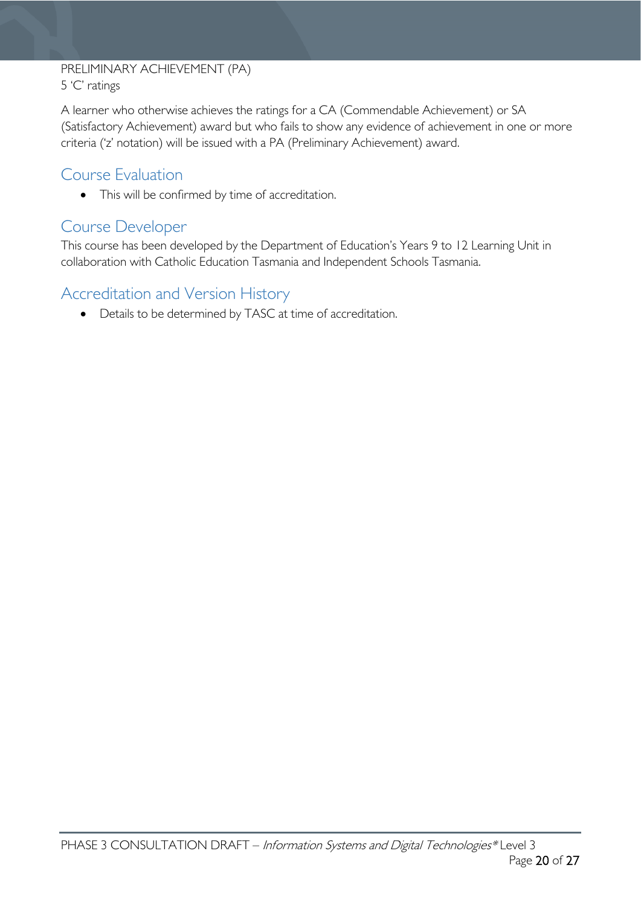# PRELIMINARY ACHIEVEMENT (PA)

5 'C' ratings

A learner who otherwise achieves the ratings for a CA (Commendable Achievement) or SA (Satisfactory Achievement) award but who fails to show any evidence of achievement in one or more criteria ('z' notation) will be issued with a PA (Preliminary Achievement) award.

# <span id="page-19-0"></span>Course Evaluation

• This will be confirmed by time of accreditation.

### <span id="page-19-1"></span>Course Developer

This course has been developed by the Department of Education's Years 9 to 12 Learning Unit in collaboration with Catholic Education Tasmania and Independent Schools Tasmania.

# <span id="page-19-2"></span>Accreditation and Version History

• Details to be determined by TASC at time of accreditation.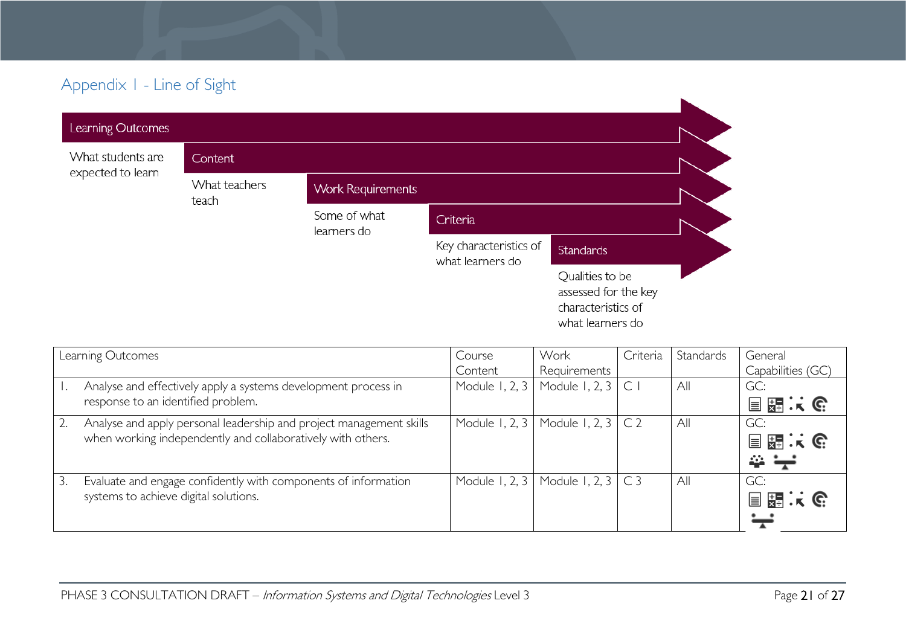# Appendix 1 - Line of Sight

| Learning Outcomes |                        |                             |                                            |                                                                                   |  |
|-------------------|------------------------|-----------------------------|--------------------------------------------|-----------------------------------------------------------------------------------|--|
| What students are | Content                |                             |                                            |                                                                                   |  |
| expected to learn | What teachers<br>teach | <b>Work Requirements</b>    |                                            |                                                                                   |  |
|                   |                        | Some of what<br>learners do | Criteria                                   |                                                                                   |  |
|                   |                        |                             | Key characteristics of<br>what learners do | <b>Standards</b>                                                                  |  |
|                   |                        |                             |                                            | Qualities to be<br>assessed for the key<br>characteristics of<br>what learners do |  |

<span id="page-20-0"></span>

| Learning Outcomes |                                                                     | Course           | Work                      | Criteria     | Standards | General           |
|-------------------|---------------------------------------------------------------------|------------------|---------------------------|--------------|-----------|-------------------|
|                   |                                                                     | Content          | Requirements              |              |           | Capabilities (GC) |
|                   | Analyse and effectively apply a systems development process in      | Module $1, 2, 3$ | Module 1, 2, 3            | $\mathsf{C}$ | All       | GC:               |
|                   | response to an identified problem.                                  |                  |                           |              |           | 開庆院<br>$\equiv$   |
|                   | Analyse and apply personal leadership and project management skills | Module 1, 2, 3   | Module 1, 2, 3 $\mid$ C 2 |              | All       | GC:               |
|                   | when working independently and collaboratively with others.         |                  |                           |              |           | 目題:に              |
|                   |                                                                     |                  |                           |              |           | ₩                 |
| 3.                | Evaluate and engage confidently with components of information      | Module 1, 2, 3   | Module 1, 2, $3 \mid C3$  |              | All       | GC:               |
|                   | systems to achieve digital solutions.                               |                  |                           |              |           | 国盟大会              |
|                   |                                                                     |                  |                           |              |           |                   |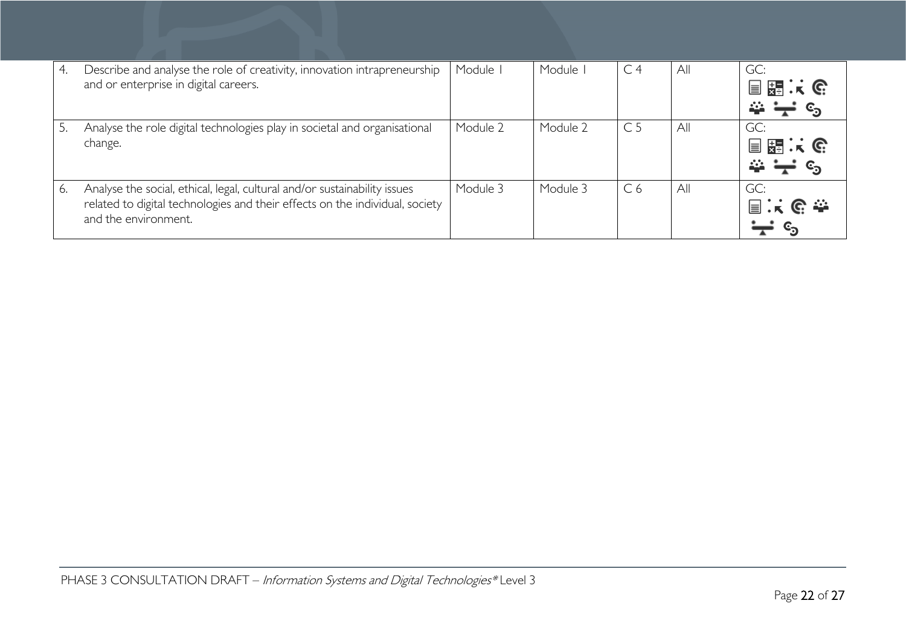| 4. | Describe and analyse the role of creativity, innovation intrapreneurship<br>and or enterprise in digital careers.                                                                 | Module I | Module   | C <sub>4</sub> | All | GC:<br>目開くで<br>益 |
|----|-----------------------------------------------------------------------------------------------------------------------------------------------------------------------------------|----------|----------|----------------|-----|------------------|
|    | Analyse the role digital technologies play in societal and organisational<br>change.                                                                                              | Module 2 | Module 2 | C <sub>5</sub> | All | GC:<br>目開まで<br>益 |
| 6. | Analyse the social, ethical, legal, cultural and/or sustainability issues<br>related to digital technologies and their effects on the individual, society<br>and the environment. | Module 3 | Module 3 | C <sub>6</sub> | All | GC:<br>国兴区泰      |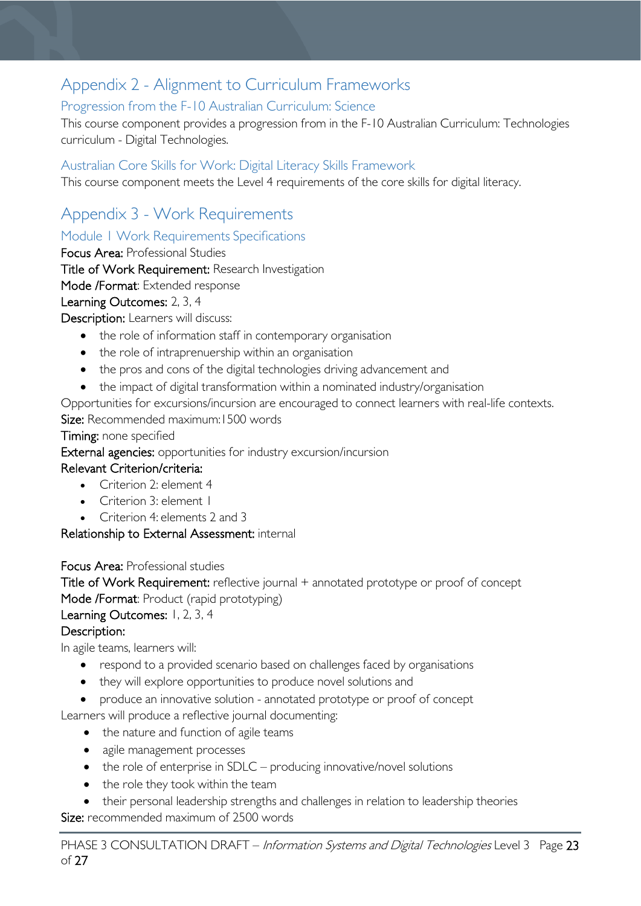# <span id="page-22-0"></span>Appendix 2 - Alignment to Curriculum Frameworks

### <span id="page-22-1"></span>Progression from the F-10 Australian Curriculum: Science

This course component provides a progression from in the F-10 Australian Curriculum: Technologies curriculum - Digital Technologies.

### <span id="page-22-2"></span>Australian Core Skills for Work: Digital Literacy Skills Framework

This course component meets the Level 4 requirements of the core skills for digital literacy.

# <span id="page-22-3"></span>Appendix 3 - Work Requirements

<span id="page-22-4"></span>Module 1 Work Requirements Specifications

Focus Area: Professional Studies

Title of Work Requirement: Research Investigation

Mode /Format: Extended response

Learning Outcomes: 2, 3, 4

Description: Learners will discuss:

- the role of information staff in contemporary organisation
- the role of intraprenuership within an organisation
- the pros and cons of the digital technologies driving advancement and
- the impact of digital transformation within a nominated industry/organisation

Opportunities for excursions/incursion are encouraged to connect learners with real-life contexts. Size: Recommended maximum: 1500 words

#### Timing: none specified

External agencies: opportunities for industry excursion/incursion

### Relevant Criterion/criteria:

- Criterion 2: element 4
- Criterion 3: element 1
- Criterion 4: elements 2 and 3

Relationship to External Assessment: internal

Focus Area: Professional studies

Title of Work Requirement: reflective journal + annotated prototype or proof of concept Mode /Format: Product (rapid prototyping)

#### Learning Outcomes: 1, 2, 3, 4

#### Description:

In agile teams, learners will:

- respond to a provided scenario based on challenges faced by organisations
- they will explore opportunities to produce novel solutions and
- produce an innovative solution annotated prototype or proof of concept

Learners will produce a reflective journal documenting:

- the nature and function of agile teams
	- agile management processes
	- the role of enterprise in SDLC producing innovative/novel solutions
- the role they took within the team
- their personal leadership strengths and challenges in relation to leadership theories Size: recommended maximum of 2500 words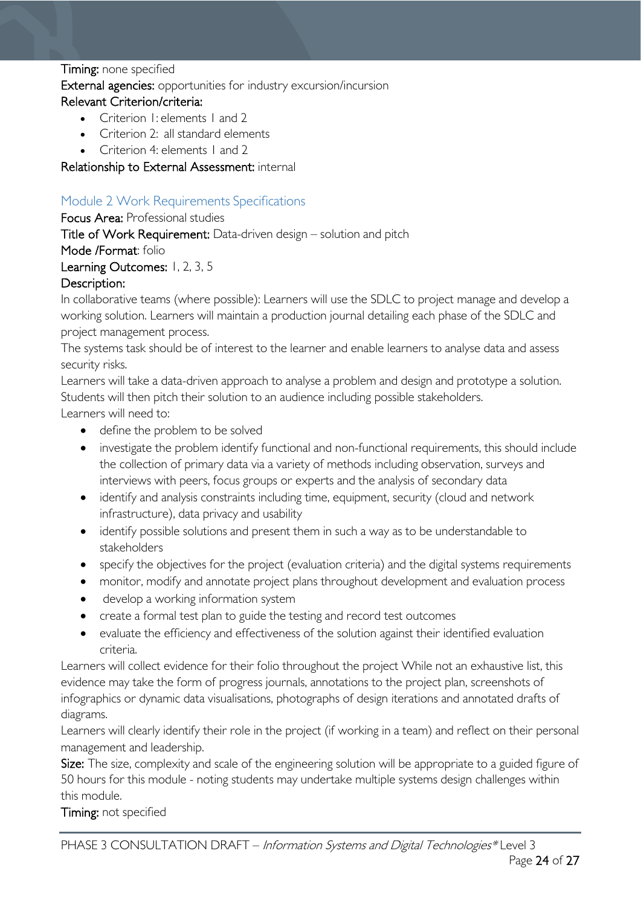#### Timing: none specified

External agencies: opportunities for industry excursion/incursion

#### Relevant Criterion/criteria:

- Criterion I: elements L and 2
- Criterion 2: all standard elements
- Criterion 4: elements 1 and 2

#### Relationship to External Assessment: internal

### <span id="page-23-0"></span>Module 2 Work Requirements Specifications

#### Focus Area: Professional studies

Title of Work Requirement: Data-driven design – solution and pitch

Mode /Format: folio

### Learning Outcomes: 1, 2, 3, 5

#### Description:

In collaborative teams (where possible): Learners will use the SDLC to project manage and develop a working solution. Learners will maintain a production journal detailing each phase of the SDLC and project management process.

The systems task should be of interest to the learner and enable learners to analyse data and assess security risks.

Learners will take a data-driven approach to analyse a problem and design and prototype a solution. Students will then pitch their solution to an audience including possible stakeholders. Learners will need to:

- define the problem to be solved
- investigate the problem identify functional and non-functional requirements, this should include the collection of primary data via a variety of methods including observation, surveys and interviews with peers, focus groups or experts and the analysis of secondary data
- identify and analysis constraints including time, equipment, security (cloud and network infrastructure), data privacy and usability
- identify possible solutions and present them in such a way as to be understandable to stakeholders
- specify the objectives for the project (evaluation criteria) and the digital systems requirements
- monitor, modify and annotate project plans throughout development and evaluation process
- develop a working information system
- create a formal test plan to guide the testing and record test outcomes
- evaluate the efficiency and effectiveness of the solution against their identified evaluation criteria.

Learners will collect evidence for their folio throughout the project While not an exhaustive list, this evidence may take the form of progress journals, annotations to the project plan, screenshots of infographics or dynamic data visualisations, photographs of design iterations and annotated drafts of diagrams.

Learners will clearly identify their role in the project (if working in a team) and reflect on their personal management and leadership.

Size: The size, complexity and scale of the engineering solution will be appropriate to a guided figure of 50 hours for this module - noting students may undertake multiple systems design challenges within this module.

Timing: not specified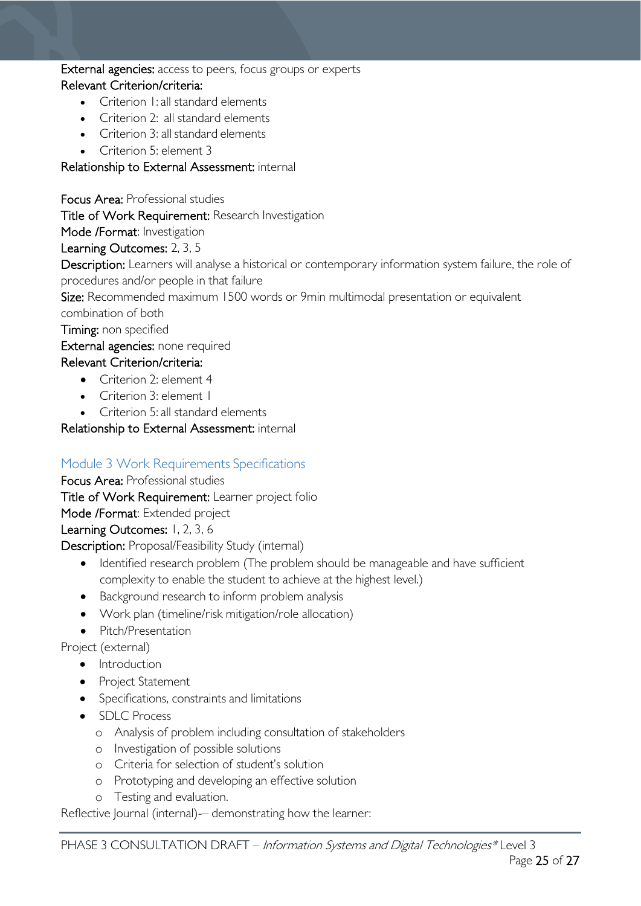#### External agencies: access to peers, focus groups or experts Relevant Criterion/criteria:

### • Criterion 1: all standard elements

- Criterion 2: all standard elements
- Criterion 3: all standard elements
- Criterion 5: element 3

### Relationship to External Assessment: internal

Focus Area: Professional studies

Title of Work Requirement: Research Investigation

Mode /Format: Investigation

Learning Outcomes: 2, 3, 5

Description: Learners will analyse a historical or contemporary information system failure, the role of procedures and/or people in that failure

Size: Recommended maximum 1500 words or 9min multimodal presentation or equivalent

combination of both

Timing: non specified

#### External agencies: none required

### Relevant Criterion/criteria:

- Criterion 2: element 4
- Criterion 3: element 1
- Criterion 5: all standard elements

Relationship to External Assessment: internal

### <span id="page-24-0"></span>Module 3 Work Requirements Specifications

Focus Area: Professional studies

Title of Work Requirement: Learner project folio

Mode /Format: Extended project

Learning Outcomes: 1, 2, 3, 6

Description: Proposal/Feasibility Study (internal)

- Identified research problem (The problem should be manageable and have sufficient complexity to enable the student to achieve at the highest level.)
- Background research to inform problem analysis
- Work plan (timeline/risk mitigation/role allocation)
- Pitch/Presentation

Project (external)

- Introduction
- Project Statement
- Specifications, constraints and limitations
- SDLC Process
	- o Analysis of problem including consultation of stakeholders
	- o Investigation of possible solutions
	- o Criteria for selection of student's solution
	- o Prototyping and developing an effective solution
	- o Testing and evaluation.

Reflective Journal (internal)- demonstrating how the learner: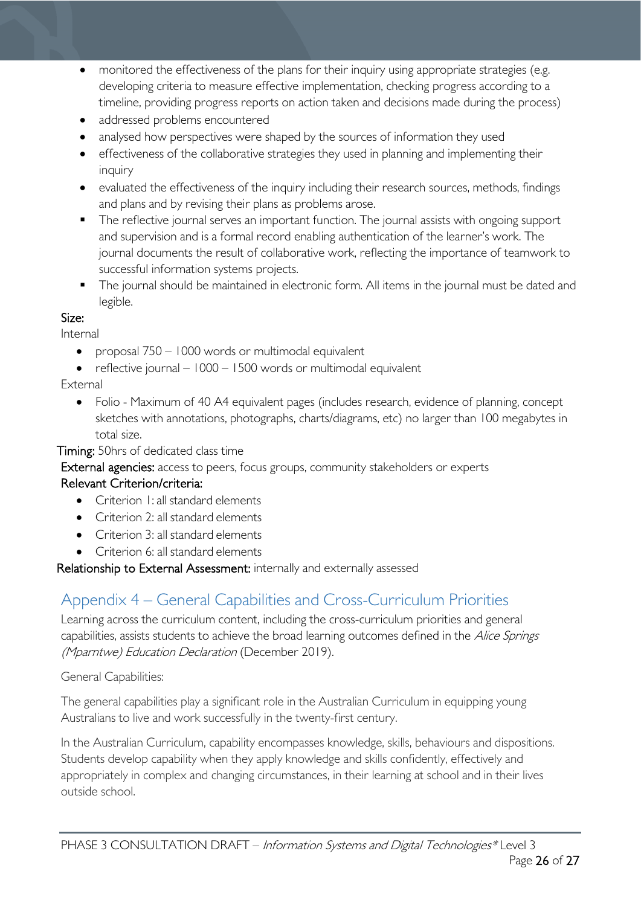- monitored the effectiveness of the plans for their inquiry using appropriate strategies (e.g. developing criteria to measure effective implementation, checking progress according to a timeline, providing progress reports on action taken and decisions made during the process)
- addressed problems encountered
- analysed how perspectives were shaped by the sources of information they used
- effectiveness of the collaborative strategies they used in planning and implementing their inquiry
- evaluated the effectiveness of the inquiry including their research sources, methods, findings and plans and by revising their plans as problems arose.
- The reflective journal serves an important function. The journal assists with ongoing support and supervision and is a formal record enabling authentication of the learner's work. The journal documents the result of collaborative work, reflecting the importance of teamwork to successful information systems projects.
- **The journal should be maintained in electronic form. All items in the journal must be dated and** legible.

#### Size:

Internal

- proposal 750 1000 words or multimodal equivalent
- reflective journal 1000 1500 words or multimodal equivalent

### External

• Folio - Maximum of 40 A4 equivalent pages (includes research, evidence of planning, concept sketches with annotations, photographs, charts/diagrams, etc) no larger than 100 megabytes in total size.

Timing: 50hrs of dedicated class time

External agencies: access to peers, focus groups, community stakeholders or experts

### Relevant Criterion/criteria:

- Criterion 1: all standard elements
- Criterion 2: all standard elements
- Criterion 3: all standard elements
- Criterion 6: all standard elements

Relationship to External Assessment: internally and externally assessed

# <span id="page-25-0"></span>Appendix 4 – General Capabilities and Cross-Curriculum Priorities

Learning across the curriculum content, including the cross-curriculum priorities and general capabilities, assists students to achieve the broad learning outcomes defined in the Alice Springs (Mparntwe) Education Declaration (December 2019).

General Capabilities:

The general capabilities play a significant role in the Australian Curriculum in equipping young Australians to live and work successfully in the twenty-first century.

In the Australian Curriculum, capability encompasses knowledge, skills, behaviours and dispositions. Students develop capability when they apply knowledge and skills confidently, effectively and appropriately in complex and changing circumstances, in their learning at school and in their lives outside school.